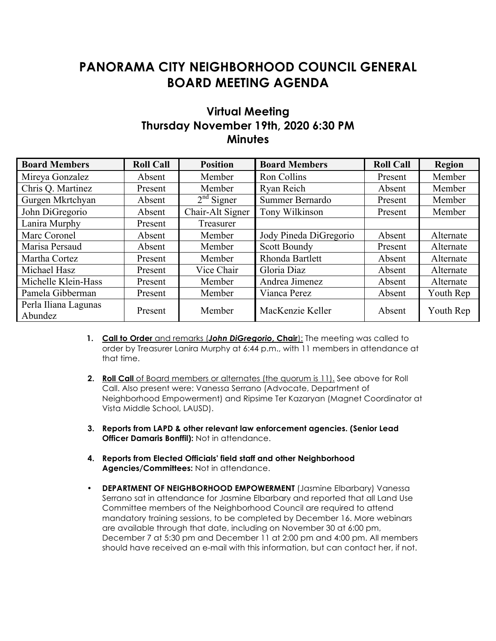## **PANORAMA CITY NEIGHBORHOOD COUNCIL GENERAL BOARD MEETING AGENDA**

## **Virtual Meeting Thursday November 19th, 2020 6:30 PM Minutes**

| <b>Board Members</b>            | <b>Roll Call</b> | <b>Position</b>  | <b>Board Members</b>   | <b>Roll Call</b> | <b>Region</b> |
|---------------------------------|------------------|------------------|------------------------|------------------|---------------|
| Mireya Gonzalez                 | Absent           | Member           | Ron Collins            | Present          | Member        |
| Chris Q. Martinez               | Present          | Member           | Ryan Reich             | Absent           | Member        |
| Gurgen Mkrtchyan                | Absent           | $2nd$ Signer     | Summer Bernardo        | Present          | Member        |
| John DiGregorio                 | Absent           | Chair-Alt Signer | Tony Wilkinson         | Present          | Member        |
| Lanira Murphy                   | Present          | Treasurer        |                        |                  |               |
| Marc Coronel                    | Absent           | Member           | Jody Pineda DiGregorio | Absent           | Alternate     |
| Marisa Persaud                  | Absent           | Member           | Scott Boundy           | Present          | Alternate     |
| Martha Cortez                   | Present          | Member           | Rhonda Bartlett        | Absent           | Alternate     |
| Michael Hasz                    | Present          | Vice Chair       | Gloria Diaz            | Absent           | Alternate     |
| Michelle Klein-Hass             | Present          | Member           | Andrea Jimenez         | Absent           | Alternate     |
| Pamela Gibberman                | Present          | Member           | Vianca Perez           | Absent           | Youth Rep     |
| Perla Iliana Lagunas<br>Abundez | Present          | Member           | MacKenzie Keller       | Absent           | Youth Rep     |

- 1. Call to Order and remarks (**John DiGregorio**, Chair): The meeting was called to order by Treasurer Lanira Murphy at 6:44 p.m., with 11 members in attendance at that time.
- **2. Roll Call** of Board members or alternates (the quorum is 11). See above for Roll Call. Also present were: Vanessa Serrano (Advocate, Department of Neighborhood Empowerment) and Ripsime Ter Kazaryan (Magnet Coordinator at Vista Middle School, LAUSD).
- **3. Reports from LAPD & other relevant law enforcement agencies. (Senior Lead Officer Damaris Bonffil):** Not in attendance.
- **4. Reports from Elected Officials' field staff and other Neighborhood Agencies/Committees:** Not in attendance.
- **DEPARTMENT OF NEIGHBORHOOD EMPOWERMENT** (Jasmine Elbarbary) Vanessa Serrano sat in attendance for Jasmine Elbarbary and reported that all Land Use Committee members of the Neighborhood Council are required to attend mandatory training sessions, to be completed by December 16. More webinars are available through that date, including on November 30 at 6:00 pm, December 7 at 5:30 pm and December 11 at 2:00 pm and 4:00 pm. All members should have received an e-mail with this information, but can contact her, if not.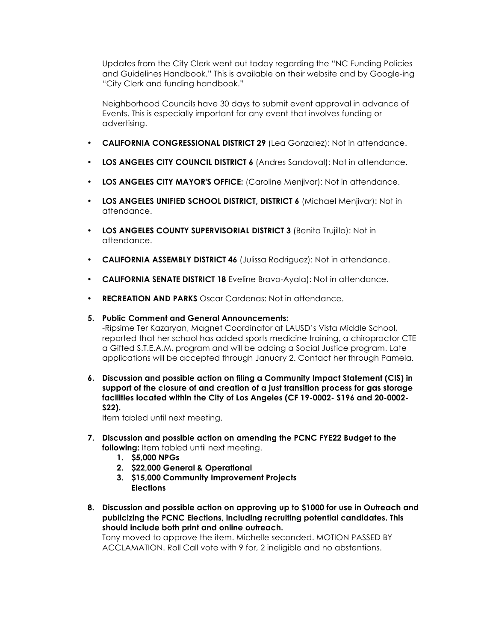Updates from the City Clerk went out today regarding the "NC Funding Policies and Guidelines Handbook." This is available on their website and by Google-ing "City Clerk and funding handbook."

Neighborhood Councils have 30 days to submit event approval in advance of Events. This is especially important for any event that involves funding or advertising.

- **CALIFORNIA CONGRESSIONAL DISTRICT 29** (Lea Gonzalez): Not in attendance.
- **LOS ANGELES CITY COUNCIL DISTRICT 6** (Andres Sandoval): Not in attendance.
- **LOS ANGELES CITY MAYOR'S OFFICE:** (Caroline Menjivar): Not in attendance.
- **LOS ANGELES UNIFIED SCHOOL DISTRICT, DISTRICT 6** (Michael Menjivar): Not in attendance.
- **LOS ANGELES COUNTY SUPERVISORIAL DISTRICT 3** (Benita Trujillo): Not in attendance.
- **CALIFORNIA ASSEMBLY DISTRICT 46** (Julissa Rodriguez): Not in attendance.
- **CALIFORNIA SENATE DISTRICT 18** Eveline Bravo-Ayala): Not in attendance.
- **RECREATION AND PARKS** Oscar Cardenas: Not in attendance.
- **5. Public Comment and General Announcements:**

-Ripsime Ter Kazaryan, Magnet Coordinator at LAUSD's Vista Middle School, reported that her school has added sports medicine training, a chiropractor CTE a Gifted S.T.E.A.M. program and will be adding a Social Justice program. Late applications will be accepted through January 2. Contact her through Pamela.

**6. Discussion and possible action on filing a Community Impact Statement (CIS) in support of the closure of and creation of a just transition process for gas storage facilities located within the City of Los Angeles (CF 19-0002- S196 and 20-0002- S22).**

Item tabled until next meeting.

- **7. Discussion and possible action on amending the PCNC FYE22 Budget to the following:** Item tabled until next meeting.
	- **1. \$5,000 NPGs**
	- **2. \$22,000 General & Operational**
	- **3. \$15,000 Community Improvement Projects Elections**
- **8. Discussion and possible action on approving up to \$1000 for use in Outreach and publicizing the PCNC Elections, including recruiting potential candidates. This should include both print and online outreach.**

Tony moved to approve the item. Michelle seconded. MOTION PASSED BY ACCLAMATION. Roll Call vote with 9 for, 2 ineligible and no abstentions.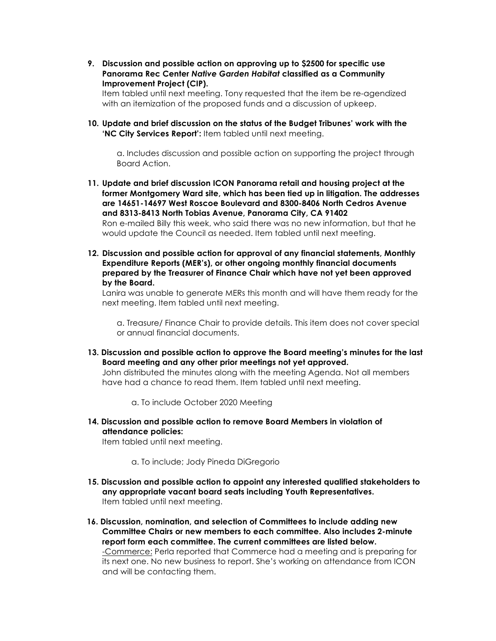**9. Discussion and possible action on approving up to \$2500 for specific use Panorama Rec Center** *Native Garden Habitat* **classified as a Community Improvement Project (CIP).** 

Item tabled until next meeting. Tony requested that the item be re-agendized with an itemization of the proposed funds and a discussion of upkeep.

**10. Update and brief discussion on the status of the Budget Tribunes' work with the 'NC City Services Report':** Item tabled until next meeting.

a. Includes discussion and possible action on supporting the project through Board Action.

- **11. Update and brief discussion ICON Panorama retail and housing project at the former Montgomery Ward site, which has been tied up in litigation. The addresses are 14651-14697 West Roscoe Boulevard and 8300-8406 North Cedros Avenue and 8313-8413 North Tobias Avenue, Panorama City, CA 91402**  Ron e-mailed Billy this week, who said there was no new information, but that he would update the Council as needed. Item tabled until next meeting.
- **12. Discussion and possible action for approval of any financial statements, Monthly Expenditure Reports (MER's), or other ongoing monthly financial documents prepared by the Treasurer of Finance Chair which have not yet been approved by the Board.**

Lanira was unable to generate MERs this month and will have them ready for the next meeting. Item tabled until next meeting.

a. Treasure/ Finance Chair to provide details. This item does not cover special or annual financial documents.

**13. Discussion and possible action to approve the Board meeting's minutes for the last Board meeting and any other prior meetings not yet approved.** 

John distributed the minutes along with the meeting Agenda. Not all members have had a chance to read them. Item tabled until next meeting.

a. To include October 2020 Meeting

**14. Discussion and possible action to remove Board Members in violation of attendance policies:** 

Item tabled until next meeting.

a. To include; Jody Pineda DiGregorio

- **15. Discussion and possible action to appoint any interested qualified stakeholders to any appropriate vacant board seats including Youth Representatives.**  Item tabled until next meeting.
- **16. Discussion, nomination, and selection of Committees to include adding new Committee Chairs or new members to each committee. Also includes 2-minute report form each committee. The current committees are listed below.**

-Commerce: Perla reported that Commerce had a meeting and is preparing for its next one. No new business to report. She's working on attendance from ICON and will be contacting them.